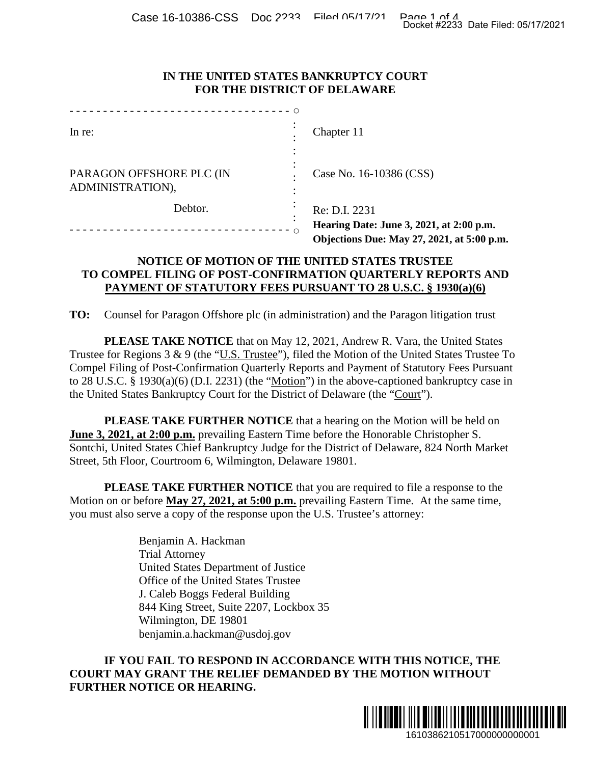Case 16-10386-CSS Doc 2233 Filed 05/17/21 Page 1 of 4<br>Docket #2233 Date Filed: 05/17/2021

### **IN THE UNITED STATES BANKRUPTCY COURT FOR THE DISTRICT OF DELAWARE**

| Docket #2233 Date Filed: 05/17/2021<br>IN THE UNITED STATES BANKRUPTCY COURT<br>FOR THE DISTRICT OF DELAWARE<br>--------------------------------- 0                                                                                                              |                                                                                                                                                                                                                                                                                                                                                                                                                                                                                                                                                                                                                                                                                                                                                      |
|------------------------------------------------------------------------------------------------------------------------------------------------------------------------------------------------------------------------------------------------------------------|------------------------------------------------------------------------------------------------------------------------------------------------------------------------------------------------------------------------------------------------------------------------------------------------------------------------------------------------------------------------------------------------------------------------------------------------------------------------------------------------------------------------------------------------------------------------------------------------------------------------------------------------------------------------------------------------------------------------------------------------------|
|                                                                                                                                                                                                                                                                  |                                                                                                                                                                                                                                                                                                                                                                                                                                                                                                                                                                                                                                                                                                                                                      |
|                                                                                                                                                                                                                                                                  |                                                                                                                                                                                                                                                                                                                                                                                                                                                                                                                                                                                                                                                                                                                                                      |
| PARAGON OFFSHORE PLC (IN<br>ADMINISTRATION),                                                                                                                                                                                                                     | Case No. 16-10386 (CSS)                                                                                                                                                                                                                                                                                                                                                                                                                                                                                                                                                                                                                                                                                                                              |
| Debtor.                                                                                                                                                                                                                                                          | Re: D.I. 2231                                                                                                                                                                                                                                                                                                                                                                                                                                                                                                                                                                                                                                                                                                                                        |
|                                                                                                                                                                                                                                                                  | Hearing Date: June 3, 2021, at 2:00 p.m.<br>Objections Due: May 27, 2021, at 5:00 p.m.                                                                                                                                                                                                                                                                                                                                                                                                                                                                                                                                                                                                                                                               |
|                                                                                                                                                                                                                                                                  | NOTICE OF MOTION OF THE UNITED STATES TRUSTEE<br>TO COMPEL FILING OF POST-CONFIRMATION QUARTERLY REPORTS AND<br>PAYMENT OF STATUTORY FEES PURSUANT TO 28 U.S.C. § 1930(a)(6)                                                                                                                                                                                                                                                                                                                                                                                                                                                                                                                                                                         |
| TO:                                                                                                                                                                                                                                                              | Counsel for Paragon Offshore plc (in administration) and the Paragon litigation trust                                                                                                                                                                                                                                                                                                                                                                                                                                                                                                                                                                                                                                                                |
|                                                                                                                                                                                                                                                                  | <b>PLEASE TAKE NOTICE</b> that on May 12, 2021, Andrew R. Vara, the United States<br>Trustee for Regions 3 & 9 (the "U.S. Trustee"), filed the Motion of the United States Trustee To<br>Compel Filing of Post-Confirmation Quarterly Reports and Payment of Statutory Fees Pursuant<br>to 28 U.S.C. § 1930(a)(6) (D.I. 2231) (the "Motion") in the above-captioned bankruptcy case in<br>the United States Bankruptcy Court for the District of Delaware (the "Court").<br><b>PLEASE TAKE FURTHER NOTICE</b> that a hearing on the Motion will be held on<br>June 3, 2021, at 2:00 p.m. prevailing Eastern Time before the Honorable Christopher S.<br>Sontchi, United States Chief Bankruptcy Judge for the District of Delaware, 824 North Market |
| Street, 5th Floor, Courtroom 6, Wilmington, Delaware 19801.                                                                                                                                                                                                      |                                                                                                                                                                                                                                                                                                                                                                                                                                                                                                                                                                                                                                                                                                                                                      |
|                                                                                                                                                                                                                                                                  | <b>PLEASE TAKE FURTHER NOTICE</b> that you are required to file a response to the<br>Motion on or before May 27, 2021, at 5:00 p.m. prevailing Eastern Time. At the same time,<br>you must also serve a copy of the response upon the U.S. Trustee's attorney:                                                                                                                                                                                                                                                                                                                                                                                                                                                                                       |
| Benjamin A. Hackman<br><b>Trial Attorney</b><br>United States Department of Justice<br>Office of the United States Trustee<br>J. Caleb Boggs Federal Building<br>844 King Street, Suite 2207, Lockbox 35<br>Wilmington, DE 19801<br>benjamin.a.hackman@usdoj.gov | IF YOU FAIL TO RESPOND IN ACCORDANCE WITH THIS NOTICE, THE                                                                                                                                                                                                                                                                                                                                                                                                                                                                                                                                                                                                                                                                                           |
| <b>FURTHER NOTICE OR HEARING.</b>                                                                                                                                                                                                                                | COURT MAY GRANT THE RELIEF DEMANDED BY THE MOTION WITHOUT                                                                                                                                                                                                                                                                                                                                                                                                                                                                                                                                                                                                                                                                                            |
|                                                                                                                                                                                                                                                                  | 1610386210517000000000001                                                                                                                                                                                                                                                                                                                                                                                                                                                                                                                                                                                                                                                                                                                            |

## **NOTICE OF MOTION OF THE UNITED STATES TRUSTEE TO COMPEL FILING OF POST-CONFIRMATION QUARTERLY REPORTS AND PAYMENT OF STATUTORY FEES PURSUANT TO 28 U.S.C. § 1930(a)(6)**

# **IF YOU FAIL TO RESPOND IN ACCORDANCE WITH THIS NOTICE, THE COURT MAY GRANT THE RELIEF DEMANDED BY THE MOTION WITHOUT FURTHER NOTICE OR HEARING.**

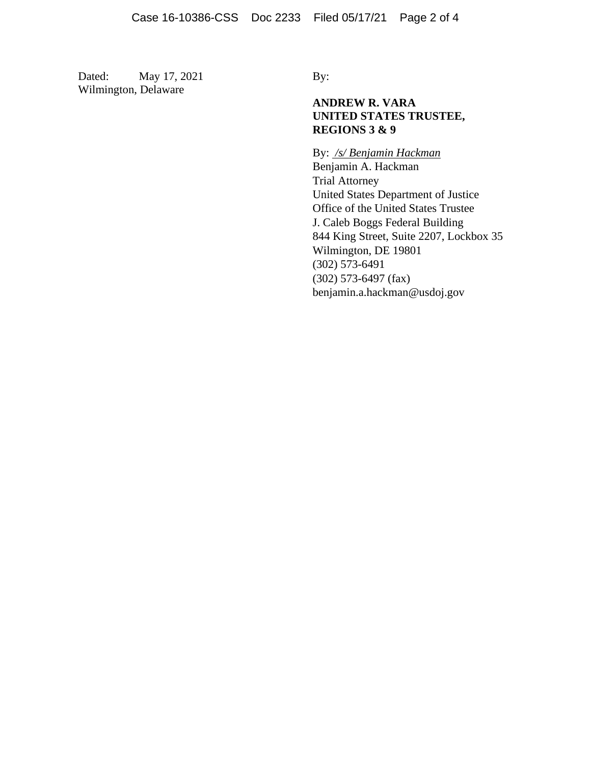Dated: May 17, 2021 By: Wilmington, Delaware

## **ANDREW R. VARA UNITED STATES TRUSTEE, REGIONS 3 & 9**

By: */s/ Benjamin Hackman* Benjamin A. Hackman Trial Attorney United States Department of Justice Office of the United States Trustee J. Caleb Boggs Federal Building 844 King Street, Suite 2207, Lockbox 35 Wilmington, DE 19801 (302) 573-6491 (302) 573-6497 (fax) benjamin.a.hackman@usdoj.gov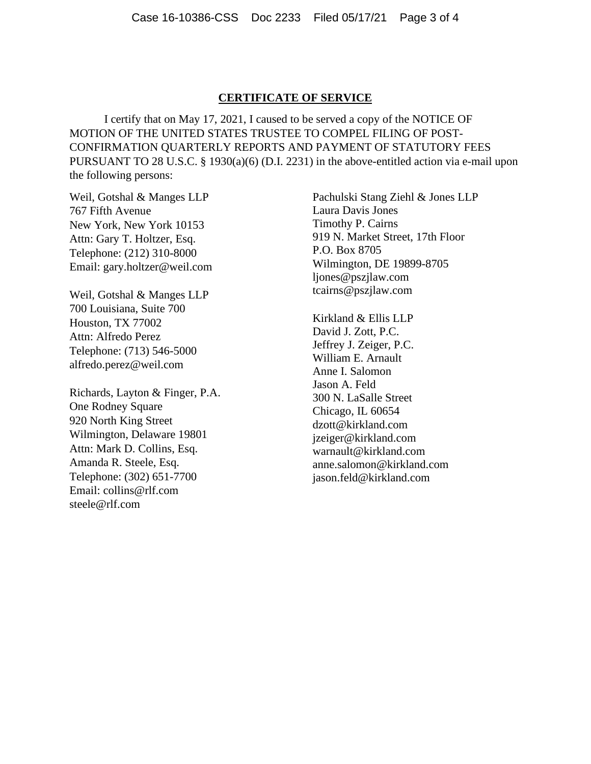#### **CERTIFICATE OF SERVICE**

I certify that on May 17, 2021, I caused to be served a copy of the NOTICE OF MOTION OF THE UNITED STATES TRUSTEE TO COMPEL FILING OF POST-CONFIRMATION QUARTERLY REPORTS AND PAYMENT OF STATUTORY FEES PURSUANT TO 28 U.S.C. § 1930(a)(6) (D.I. 2231) in the above-entitled action via e-mail upon the following persons:

Weil, Gotshal & Manges LLP 767 Fifth Avenue New York, New York 10153 Attn: Gary T. Holtzer, Esq. Telephone: (212) 310-8000 Email: gary.holtzer@weil.com

Weil, Gotshal & Manges LLP 700 Louisiana, Suite 700 Houston, TX 77002 Attn: Alfredo Perez Telephone: (713) 546-5000 alfredo.perez@weil.com

Richards, Layton & Finger, P.A. One Rodney Square 920 North King Street Wilmington, Delaware 19801 Attn: Mark D. Collins, Esq. Amanda R. Steele, Esq. Telephone: (302) 651-7700 Email: collins@rlf.com steele@rlf.com

Pachulski Stang Ziehl & Jones LLP Laura Davis Jones Timothy P. Cairns 919 N. Market Street, 17th Floor P.O. Box 8705 Wilmington, DE 19899-8705 ljones@pszjlaw.com tcairns@pszjlaw.com

Kirkland & Ellis LLP David J. Zott, P.C. Jeffrey J. Zeiger, P.C. William E. Arnault Anne I. Salomon Jason A. Feld 300 N. LaSalle Street Chicago, IL 60654 dzott@kirkland.com jzeiger@kirkland.com warnault@kirkland.com anne.salomon@kirkland.com jason.feld@kirkland.com